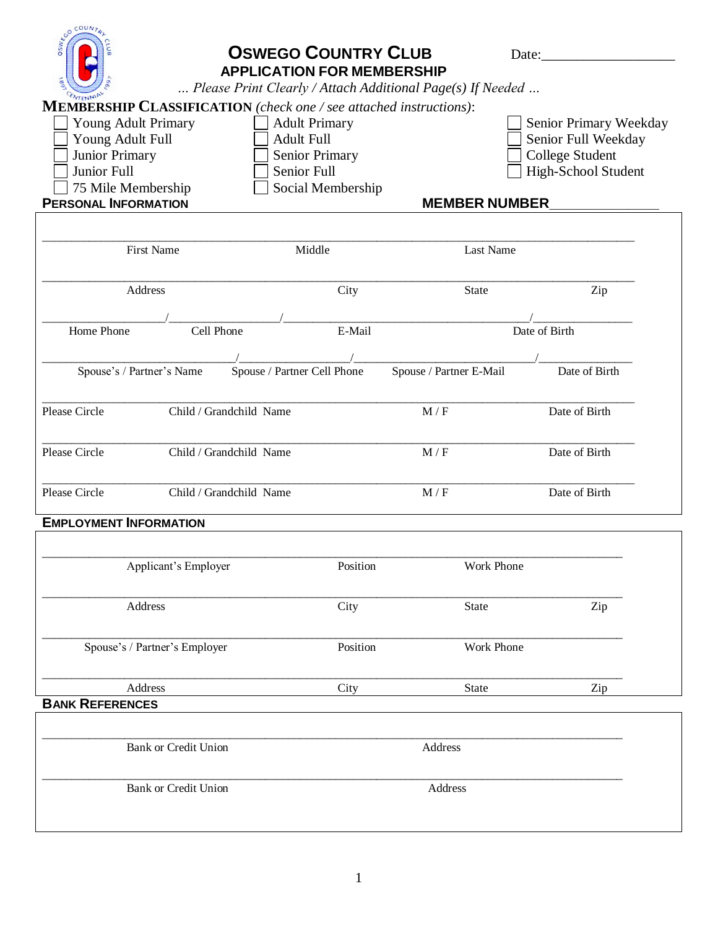| <b>SSWEGO COUNTS</b><br>Young Adult Primary<br>Young Adult Full<br>Junior Primary<br>Junior Full<br>75 Mile Membership<br><b>PERSONAL INFORMATION</b> | <b>MEMBERSHIP CLASSIFICATION</b> (check one / see attached instructions): | <b>OSWEGO COUNTRY CLUB</b><br><b>APPLICATION FOR MEMBERSHIP</b><br><b>Adult Primary</b><br><b>Adult Full</b><br><b>Senior Primary</b><br>Senior Full<br>Social Membership | Please Print Clearly / Attach Additional Page(s) If Needed<br><b>MEMBER NUMBER</b> | Date: $\_\_$<br>Senior Primary Weekday<br>Senior Full Weekday<br>College Student<br>High-School Student |  |  |  |
|-------------------------------------------------------------------------------------------------------------------------------------------------------|---------------------------------------------------------------------------|---------------------------------------------------------------------------------------------------------------------------------------------------------------------------|------------------------------------------------------------------------------------|---------------------------------------------------------------------------------------------------------|--|--|--|
| <b>First Name</b>                                                                                                                                     |                                                                           | Middle                                                                                                                                                                    | Last Name                                                                          |                                                                                                         |  |  |  |
| Address                                                                                                                                               |                                                                           | City                                                                                                                                                                      | <b>State</b>                                                                       | Zip                                                                                                     |  |  |  |
| Home Phone                                                                                                                                            | Cell Phone                                                                | E-Mail                                                                                                                                                                    |                                                                                    | Date of Birth                                                                                           |  |  |  |
| Spouse's / Partner's Name                                                                                                                             |                                                                           | Spouse / Partner Cell Phone                                                                                                                                               | Spouse / Partner E-Mail                                                            | Date of Birth                                                                                           |  |  |  |
| Please Circle                                                                                                                                         | Child / Grandchild Name                                                   |                                                                                                                                                                           | M/F                                                                                | Date of Birth                                                                                           |  |  |  |
| Please Circle                                                                                                                                         | Child / Grandchild Name                                                   |                                                                                                                                                                           | M/F                                                                                | Date of Birth                                                                                           |  |  |  |
| Please Circle                                                                                                                                         | Child / Grandchild Name                                                   |                                                                                                                                                                           | M/F                                                                                | Date of Birth                                                                                           |  |  |  |
| <b>EMPLOYMENT INFORMATION</b>                                                                                                                         |                                                                           |                                                                                                                                                                           |                                                                                    |                                                                                                         |  |  |  |
| Applicant's Employer                                                                                                                                  |                                                                           | Position                                                                                                                                                                  | Work Phone                                                                         |                                                                                                         |  |  |  |
| Address                                                                                                                                               |                                                                           | City                                                                                                                                                                      | State                                                                              | Zip                                                                                                     |  |  |  |
| Spouse's / Partner's Employer                                                                                                                         |                                                                           | Position                                                                                                                                                                  | Work Phone                                                                         |                                                                                                         |  |  |  |
| Address<br><b>BANK REFERENCES</b>                                                                                                                     |                                                                           | City                                                                                                                                                                      | <b>State</b>                                                                       | Zip                                                                                                     |  |  |  |
| <b>Bank or Credit Union</b>                                                                                                                           |                                                                           |                                                                                                                                                                           | Address                                                                            |                                                                                                         |  |  |  |
| <b>Bank or Credit Union</b>                                                                                                                           |                                                                           |                                                                                                                                                                           | Address                                                                            |                                                                                                         |  |  |  |